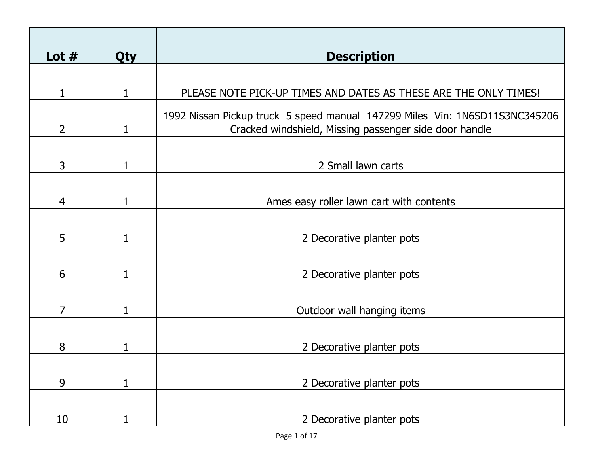| Lot $#$        | <b>Qty</b>   | <b>Description</b>                                                                                                                    |
|----------------|--------------|---------------------------------------------------------------------------------------------------------------------------------------|
|                |              |                                                                                                                                       |
| $\mathbf{1}$   | 1            | PLEASE NOTE PICK-UP TIMES AND DATES AS THESE ARE THE ONLY TIMES!                                                                      |
| $\overline{2}$ | $\mathbf{1}$ | 1992 Nissan Pickup truck 5 speed manual 147299 Miles Vin: 1N6SD11S3NC345206<br>Cracked windshield, Missing passenger side door handle |
| $\mathsf{3}$   | $\mathbf{1}$ | 2 Small lawn carts                                                                                                                    |
| $\overline{4}$ | 1            | Ames easy roller lawn cart with contents                                                                                              |
| 5              | 1            | 2 Decorative planter pots                                                                                                             |
| 6              | 1            | 2 Decorative planter pots                                                                                                             |
| $\overline{7}$ | 1            | Outdoor wall hanging items                                                                                                            |
| 8              | 1            | 2 Decorative planter pots                                                                                                             |
| 9              | $\mathbf{1}$ | 2 Decorative planter pots                                                                                                             |
| 10             |              | 2 Decorative planter pots                                                                                                             |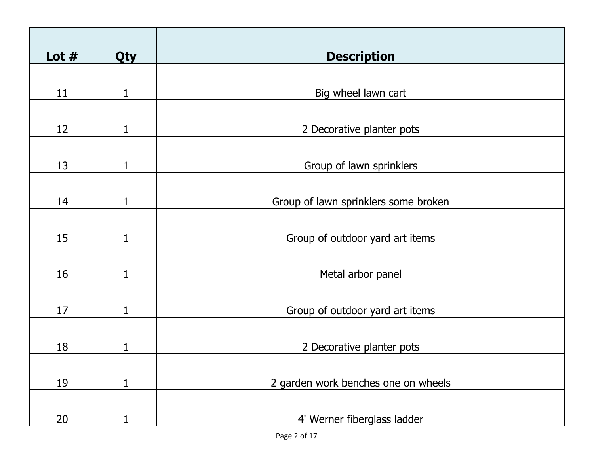| Lot $#$ | Qty          | <b>Description</b>                   |
|---------|--------------|--------------------------------------|
|         |              |                                      |
| 11      | 1            | Big wheel lawn cart                  |
|         |              |                                      |
| 12      | $\mathbf{1}$ | 2 Decorative planter pots            |
|         |              |                                      |
| 13      | 1            | Group of lawn sprinklers             |
|         |              |                                      |
| 14      |              | Group of lawn sprinklers some broken |
|         |              |                                      |
| 15      | 1            | Group of outdoor yard art items      |
|         |              |                                      |
| 16      | 1            | Metal arbor panel                    |
|         |              |                                      |
| 17      | 1            | Group of outdoor yard art items      |
|         |              |                                      |
| 18      | 1            | 2 Decorative planter pots            |
|         |              |                                      |
| 19      | $\mathbf{1}$ | 2 garden work benches one on wheels  |
|         |              |                                      |
| 20      |              | 4' Werner fiberglass ladder          |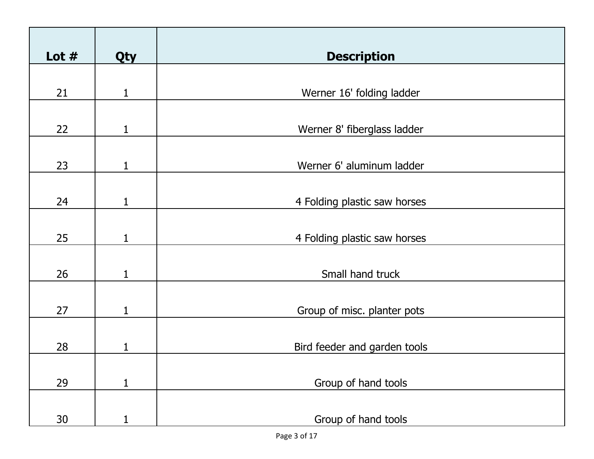| Lot $#$ | Qty          | <b>Description</b>           |
|---------|--------------|------------------------------|
|         |              |                              |
| 21      | $\mathbf{1}$ | Werner 16' folding ladder    |
|         |              |                              |
| 22      | 1            | Werner 8' fiberglass ladder  |
|         |              |                              |
| 23      | 1            | Werner 6' aluminum ladder    |
|         |              |                              |
| 24      | 1            | 4 Folding plastic saw horses |
|         |              |                              |
| 25      | $\mathbf{1}$ | 4 Folding plastic saw horses |
|         |              |                              |
| 26      | 1            | Small hand truck             |
|         |              |                              |
| 27      | 1            | Group of misc. planter pots  |
|         |              |                              |
| 28      | 1            | Bird feeder and garden tools |
|         |              |                              |
| 29      | $\mathbf{1}$ | Group of hand tools          |
|         |              |                              |
| 30      | 1            | Group of hand tools          |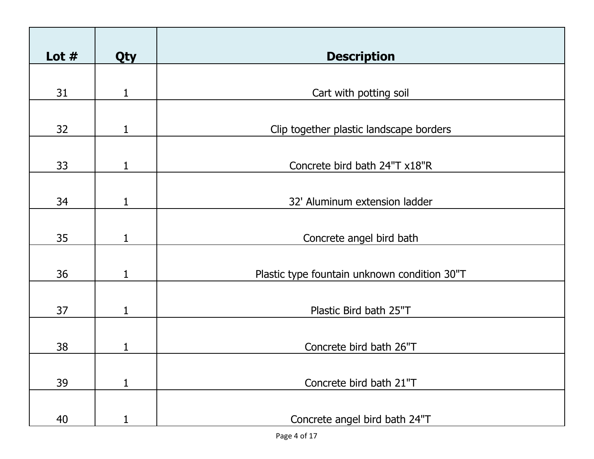| Lot $#$ | <b>Qty</b>   | <b>Description</b>                           |
|---------|--------------|----------------------------------------------|
| 31      | 1            | Cart with potting soil                       |
| 32      | 1            | Clip together plastic landscape borders      |
| 33      | 1            | Concrete bird bath 24"T x18"R                |
| 34      |              | 32' Aluminum extension ladder                |
| 35      | 1            | Concrete angel bird bath                     |
| 36      |              | Plastic type fountain unknown condition 30"T |
| 37      | 1            | Plastic Bird bath 25"T                       |
| 38      |              | Concrete bird bath 26"T                      |
| 39      | $\mathbf{1}$ | Concrete bird bath 21"T                      |
| 40      |              | Concrete angel bird bath 24"T                |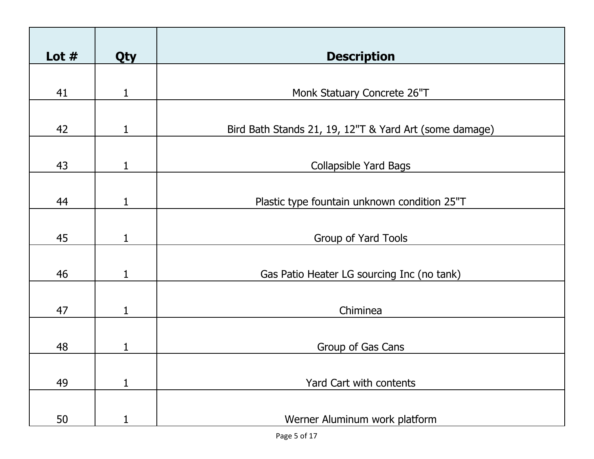| Lot $#$ | Qty          | <b>Description</b>                                     |
|---------|--------------|--------------------------------------------------------|
| 41      | 1            | Monk Statuary Concrete 26"T                            |
| 42      | 1            | Bird Bath Stands 21, 19, 12"T & Yard Art (some damage) |
| 43      | 1            | <b>Collapsible Yard Bags</b>                           |
| 44      |              | Plastic type fountain unknown condition 25"T           |
| 45      | 1            | Group of Yard Tools                                    |
| 46      |              | Gas Patio Heater LG sourcing Inc (no tank)             |
| 47      | 1            | Chiminea                                               |
| 48      |              | Group of Gas Cans                                      |
| 49      | $\mathbf{1}$ | Yard Cart with contents                                |
| 50      |              | Werner Aluminum work platform                          |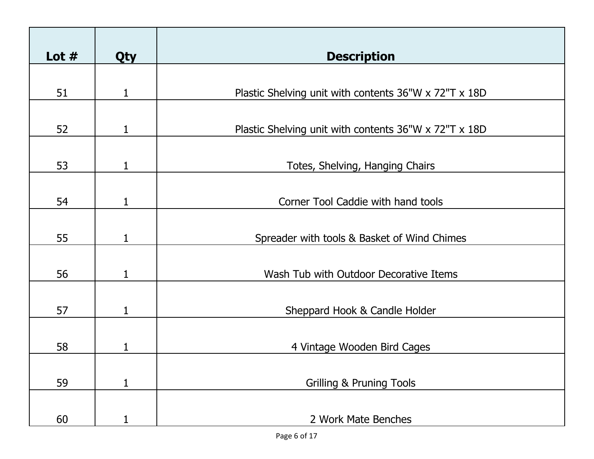| Lot $#$ | <b>Qty</b> | <b>Description</b>                                    |
|---------|------------|-------------------------------------------------------|
| 51      | 1          | Plastic Shelving unit with contents 36"W x 72"T x 18D |
|         |            |                                                       |
| 52      | 1          | Plastic Shelving unit with contents 36"W x 72"T x 18D |
| 53      | 1          | Totes, Shelving, Hanging Chairs                       |
| 54      | 1          | Corner Tool Caddie with hand tools                    |
| 55      | 1          | Spreader with tools & Basket of Wind Chimes           |
|         |            |                                                       |
| 56      | 1          | Wash Tub with Outdoor Decorative Items                |
| 57      | 1          | Sheppard Hook & Candle Holder                         |
| 58      | 1          | 4 Vintage Wooden Bird Cages                           |
|         |            |                                                       |
| 59      | 1          | <b>Grilling &amp; Pruning Tools</b>                   |
| 60      |            | 2 Work Mate Benches                                   |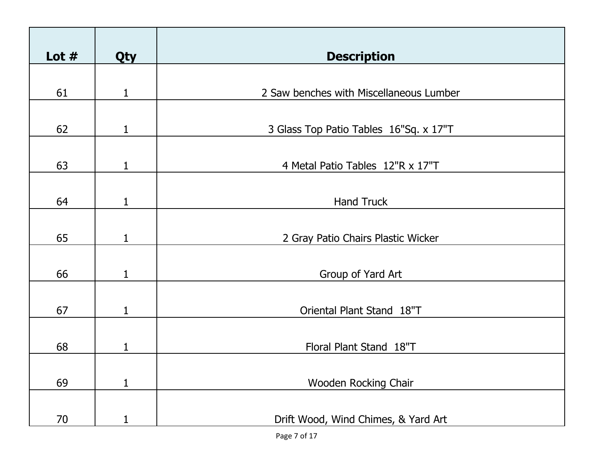| Lot $#$ | <b>Qty</b>   | <b>Description</b>                      |
|---------|--------------|-----------------------------------------|
| 61      | 1            | 2 Saw benches with Miscellaneous Lumber |
| 62      | 1            | 3 Glass Top Patio Tables 16"Sq. x 17"T  |
| 63      | 1            | 4 Metal Patio Tables 12"R x 17"T        |
| 64      | 1            | <b>Hand Truck</b>                       |
| 65      | 1            | 2 Gray Patio Chairs Plastic Wicker      |
| 66      |              | Group of Yard Art                       |
| 67      | 1            | Oriental Plant Stand 18"T               |
| 68      | 1            | Floral Plant Stand 18"T                 |
|         |              |                                         |
| 69      | $\mathbf{1}$ | Wooden Rocking Chair                    |
| 70      |              | Drift Wood, Wind Chimes, & Yard Art     |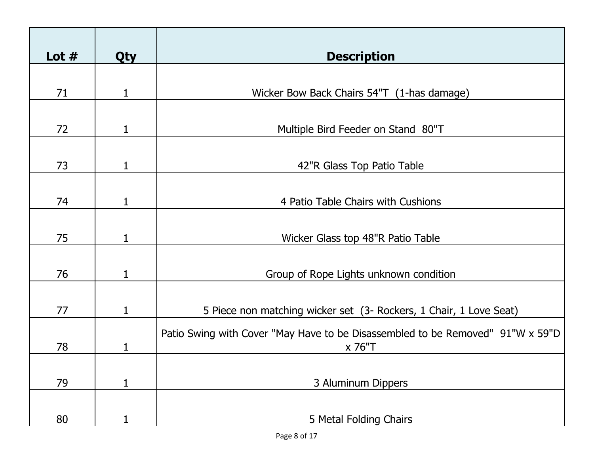| Lot $#$ | <b>Qty</b> | <b>Description</b>                                                                       |
|---------|------------|------------------------------------------------------------------------------------------|
| 71      | 1          | Wicker Bow Back Chairs 54"T (1-has damage)                                               |
|         |            |                                                                                          |
| 72      | 1          | Multiple Bird Feeder on Stand 80"T                                                       |
| 73      | 1          | 42"R Glass Top Patio Table                                                               |
| 74      |            | 4 Patio Table Chairs with Cushions                                                       |
| 75      | 1          | Wicker Glass top 48"R Patio Table                                                        |
| 76      |            | Group of Rope Lights unknown condition                                                   |
|         |            |                                                                                          |
| 77      | 1          | 5 Piece non matching wicker set (3- Rockers, 1 Chair, 1 Love Seat)                       |
| 78      | 1          | Patio Swing with Cover "May Have to be Disassembled to be Removed" 91"W x 59"D<br>x 76"T |
| 79      | 1          | 3 Aluminum Dippers                                                                       |
|         |            |                                                                                          |
| 80      | 1          | 5 Metal Folding Chairs                                                                   |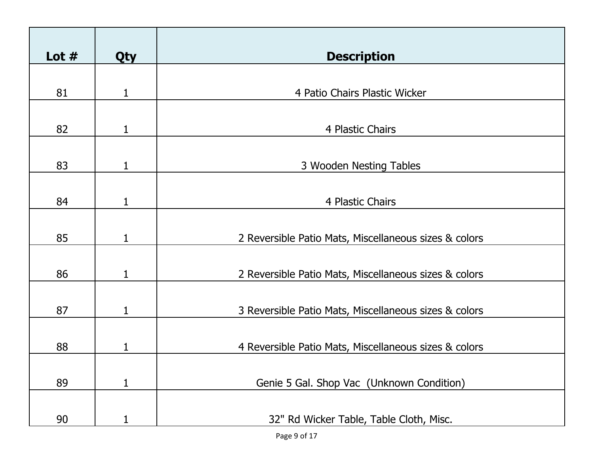| Lot $#$ | <b>Qty</b>   | <b>Description</b>                                    |
|---------|--------------|-------------------------------------------------------|
| 81      | 1            | 4 Patio Chairs Plastic Wicker                         |
| 82      | 1            | 4 Plastic Chairs                                      |
| 83      | 1            | 3 Wooden Nesting Tables                               |
| 84      | $\mathbf{1}$ | 4 Plastic Chairs                                      |
| 85      | 1            | 2 Reversible Patio Mats, Miscellaneous sizes & colors |
| 86      | 1            | 2 Reversible Patio Mats, Miscellaneous sizes & colors |
| 87      | 1            | 3 Reversible Patio Mats, Miscellaneous sizes & colors |
| 88      | 1            | 4 Reversible Patio Mats, Miscellaneous sizes & colors |
| 89      | $\mathbf{1}$ | Genie 5 Gal. Shop Vac (Unknown Condition)             |
| 90      |              | 32" Rd Wicker Table, Table Cloth, Misc.               |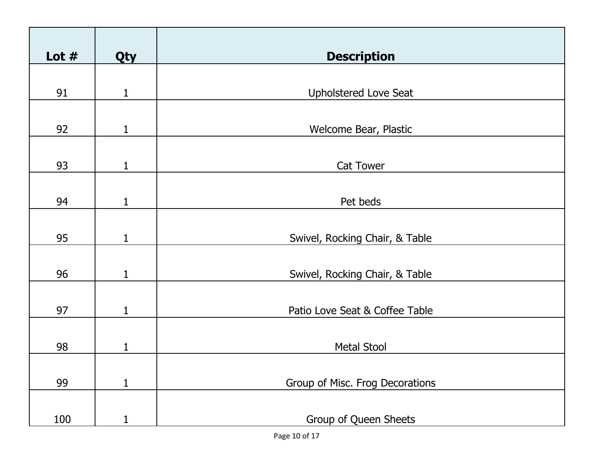| Lot $#$ | <b>Qty</b>   | <b>Description</b>              |
|---------|--------------|---------------------------------|
|         |              |                                 |
| 91      | $\mathbf 1$  | <b>Upholstered Love Seat</b>    |
| 92      | 1            | Welcome Bear, Plastic           |
| 93      | $\mathbf{1}$ | Cat Tower                       |
|         |              |                                 |
| 94      | 1            | Pet beds                        |
|         |              |                                 |
| 95      | $\mathbf{1}$ | Swivel, Rocking Chair, & Table  |
|         |              |                                 |
| 96      | 1            | Swivel, Rocking Chair, & Table  |
| 97      | $\mathbf{1}$ | Patio Love Seat & Coffee Table  |
|         |              |                                 |
| 98      | 1            | <b>Metal Stool</b>              |
|         |              |                                 |
| 99      | $\mathbf{1}$ | Group of Misc. Frog Decorations |
|         |              |                                 |
| 100     |              | Group of Queen Sheets           |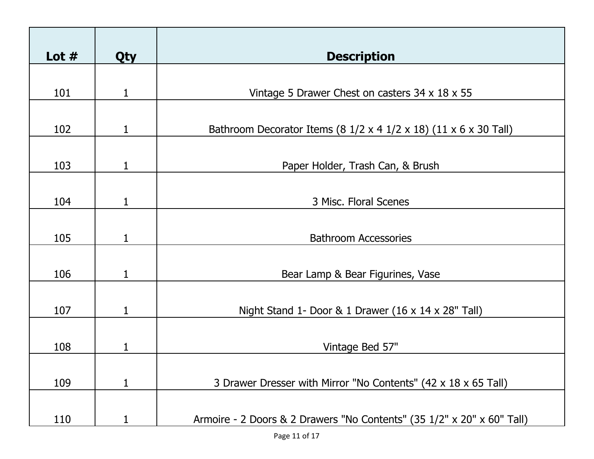| Lot $#$ | <b>Qty</b> | <b>Description</b>                                                                            |
|---------|------------|-----------------------------------------------------------------------------------------------|
|         |            |                                                                                               |
| 101     | 1          | Vintage 5 Drawer Chest on casters 34 x 18 x 55                                                |
| 102     | 1          | Bathroom Decorator Items (8 $1/2 \times 4$ $1/2 \times 18$ ) (11 $\times$ 6 $\times$ 30 Tall) |
| 103     | 1          | Paper Holder, Trash Can, & Brush                                                              |
| 104     | 1          | 3 Misc. Floral Scenes                                                                         |
|         |            |                                                                                               |
| 105     | 1          | <b>Bathroom Accessories</b>                                                                   |
| 106     |            | Bear Lamp & Bear Figurines, Vase                                                              |
|         |            |                                                                                               |
| 107     | 1          | Night Stand 1- Door & 1 Drawer $(16 \times 14 \times 28"$ Tall)                               |
|         |            |                                                                                               |
| 108     |            | Vintage Bed 57"                                                                               |
|         |            |                                                                                               |
| 109     | 1          | 3 Drawer Dresser with Mirror "No Contents" (42 x 18 x 65 Tall)                                |
|         |            |                                                                                               |
| 110     |            | Armoire - 2 Doors & 2 Drawers "No Contents" (35 1/2" x 20" x 60" Tall)                        |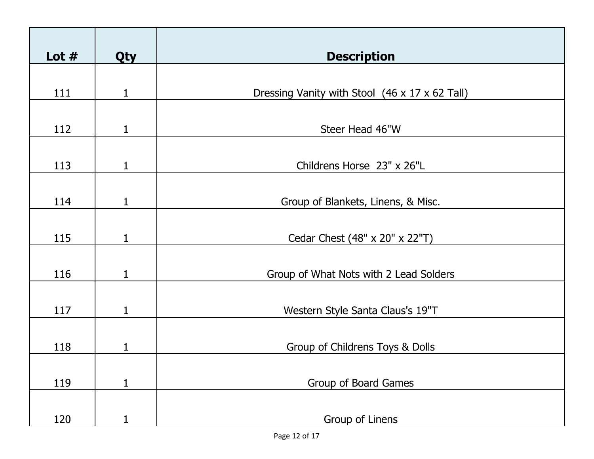| Lot $#$ | Qty          | <b>Description</b>                             |
|---------|--------------|------------------------------------------------|
|         |              |                                                |
| 111     | $\mathbf{1}$ | Dressing Vanity with Stool (46 x 17 x 62 Tall) |
|         |              |                                                |
| 112     | 1            | Steer Head 46"W                                |
|         |              |                                                |
| 113     | 1            | Childrens Horse 23" x 26"L                     |
|         |              |                                                |
| 114     | 1            | Group of Blankets, Linens, & Misc.             |
|         |              |                                                |
| 115     | 1            | Cedar Chest (48" x 20" x 22"T)                 |
|         |              |                                                |
| 116     | 1            | Group of What Nots with 2 Lead Solders         |
|         |              |                                                |
| 117     | 1            | Western Style Santa Claus's 19"T               |
|         |              |                                                |
| 118     | 1            | Group of Childrens Toys & Dolls                |
|         |              |                                                |
| 119     | $\mathbf{1}$ | Group of Board Games                           |
|         |              |                                                |
| 120     | $\mathbf{1}$ | Group of Linens                                |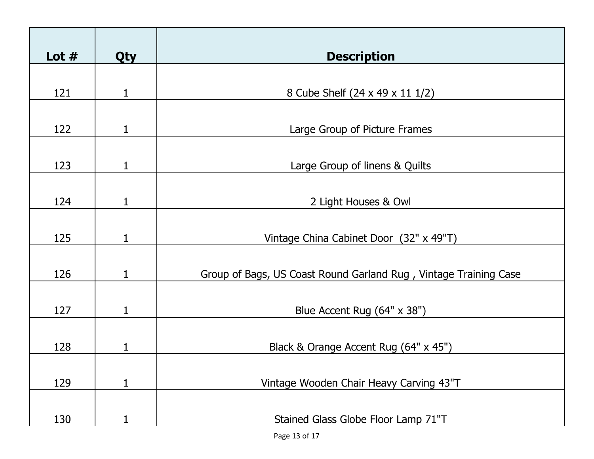| Lot $#$ | <b>Qty</b> | <b>Description</b>                                               |
|---------|------------|------------------------------------------------------------------|
| 121     | 1          | 8 Cube Shelf (24 x 49 x 11 1/2)                                  |
| 122     | 1          | Large Group of Picture Frames                                    |
| 123     | 1          | Large Group of linens & Quilts                                   |
| 124     |            | 2 Light Houses & Owl                                             |
| 125     | 1          | Vintage China Cabinet Door (32" x 49"T)                          |
| 126     |            | Group of Bags, US Coast Round Garland Rug, Vintage Training Case |
| 127     | 1          | Blue Accent Rug (64" x 38")                                      |
| 128     | 1          | Black & Orange Accent Rug (64" x 45")                            |
| 129     | 1          | Vintage Wooden Chair Heavy Carving 43"T                          |
| 130     |            | Stained Glass Globe Floor Lamp 71"T                              |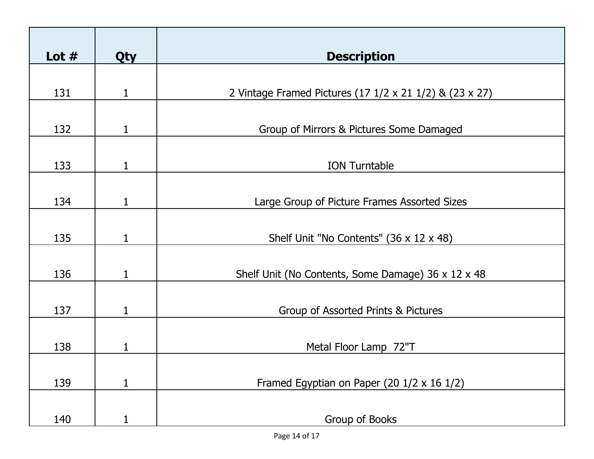| Lot $#$ | <b>Qty</b>   | <b>Description</b>                                      |
|---------|--------------|---------------------------------------------------------|
| 131     | 1            | 2 Vintage Framed Pictures (17 1/2 x 21 1/2) & (23 x 27) |
| 132     | 1            | Group of Mirrors & Pictures Some Damaged                |
| 133     | 1            | <b>ION Turntable</b>                                    |
| 134     | 1            | Large Group of Picture Frames Assorted Sizes            |
| 135     | 1            | Shelf Unit "No Contents" (36 x 12 x 48)                 |
| 136     |              | Shelf Unit (No Contents, Some Damage) 36 x 12 x 48      |
| 137     | 1            | Group of Assorted Prints & Pictures                     |
| 138     |              | Metal Floor Lamp 72"T                                   |
| 139     | $\mathbf{1}$ | Framed Egyptian on Paper (20 $1/2 \times 16$ $1/2$ )    |
| 140     |              | Group of Books                                          |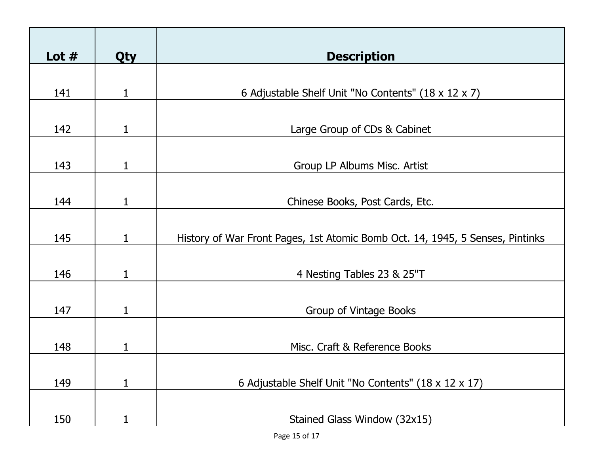| Lot $#$ | <b>Qty</b>   | <b>Description</b>                                                            |
|---------|--------------|-------------------------------------------------------------------------------|
|         |              |                                                                               |
| 141     | 1            | 6 Adjustable Shelf Unit "No Contents" (18 x 12 x 7)                           |
|         |              |                                                                               |
| 142     | 1            | Large Group of CDs & Cabinet                                                  |
|         |              |                                                                               |
| 143     | 1            | Group LP Albums Misc. Artist                                                  |
|         |              |                                                                               |
| 144     | 1            | Chinese Books, Post Cards, Etc.                                               |
|         |              |                                                                               |
| 145     | 1            | History of War Front Pages, 1st Atomic Bomb Oct. 14, 1945, 5 Senses, Pintinks |
|         |              |                                                                               |
| 146     | $\mathbf{1}$ | 4 Nesting Tables 23 & 25"T                                                    |
|         |              |                                                                               |
| 147     | 1            | Group of Vintage Books                                                        |
|         |              |                                                                               |
| 148     | 1            | Misc. Craft & Reference Books                                                 |
|         |              |                                                                               |
| 149     | 1            | 6 Adjustable Shelf Unit "No Contents" (18 x 12 x 17)                          |
|         |              |                                                                               |
| 150     |              | Stained Glass Window (32x15)                                                  |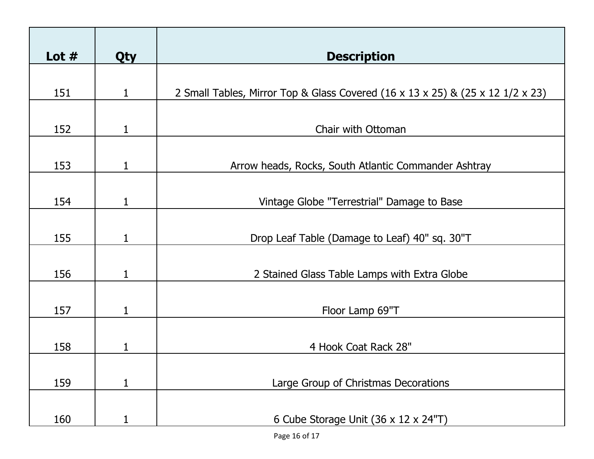| Lot $#$ | <b>Qty</b>   | <b>Description</b>                                                             |
|---------|--------------|--------------------------------------------------------------------------------|
| 151     | 1            | 2 Small Tables, Mirror Top & Glass Covered (16 x 13 x 25) & (25 x 12 1/2 x 23) |
| 152     | 1            | Chair with Ottoman                                                             |
| 153     | 1            | Arrow heads, Rocks, South Atlantic Commander Ashtray                           |
| 154     | 1            | Vintage Globe "Terrestrial" Damage to Base                                     |
| 155     | 1            | Drop Leaf Table (Damage to Leaf) 40" sq. 30"T                                  |
| 156     | 1            | 2 Stained Glass Table Lamps with Extra Globe                                   |
| 157     | $\mathbf{1}$ | Floor Lamp 69"T                                                                |
| 158     | $\mathbf{1}$ | 4 Hook Coat Rack 28"                                                           |
| 159     | $\mathbf{1}$ | Large Group of Christmas Decorations                                           |
| 160     |              | 6 Cube Storage Unit (36 x 12 x 24"T)                                           |